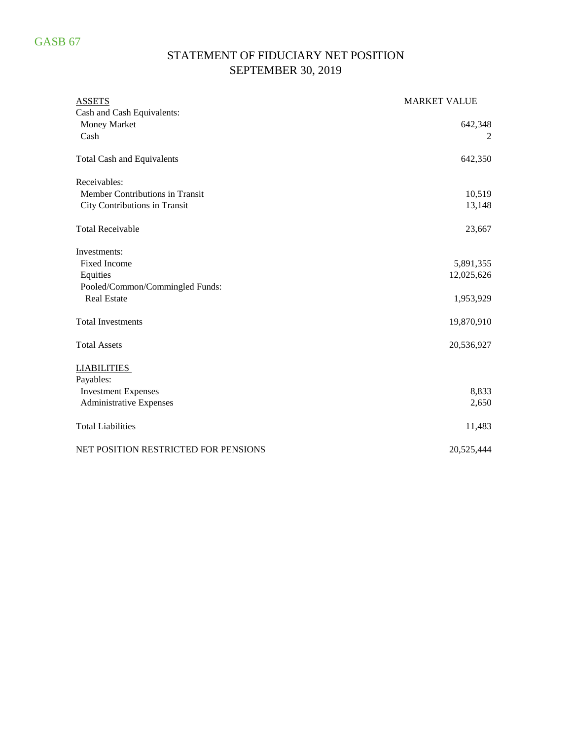## STATEMENT OF FIDUCIARY NET POSITION SEPTEMBER 30, 2019

| <b>ASSETS</b>                        | <b>MARKET VALUE</b> |
|--------------------------------------|---------------------|
| Cash and Cash Equivalents:           |                     |
| Money Market                         | 642,348             |
| Cash                                 |                     |
| <b>Total Cash and Equivalents</b>    | 642,350             |
| Receivables:                         |                     |
| Member Contributions in Transit      | 10,519              |
| City Contributions in Transit        | 13,148              |
| <b>Total Receivable</b>              | 23,667              |
| Investments:                         |                     |
| <b>Fixed Income</b>                  | 5,891,355           |
| Equities                             | 12,025,626          |
| Pooled/Common/Commingled Funds:      |                     |
| <b>Real Estate</b>                   | 1,953,929           |
| <b>Total Investments</b>             | 19,870,910          |
| <b>Total Assets</b>                  | 20,536,927          |
| <b>LIABILITIES</b>                   |                     |
| Payables:                            |                     |
| <b>Investment Expenses</b>           | 8,833               |
| <b>Administrative Expenses</b>       | 2,650               |
| <b>Total Liabilities</b>             | 11,483              |
| NET POSITION RESTRICTED FOR PENSIONS | 20,525,444          |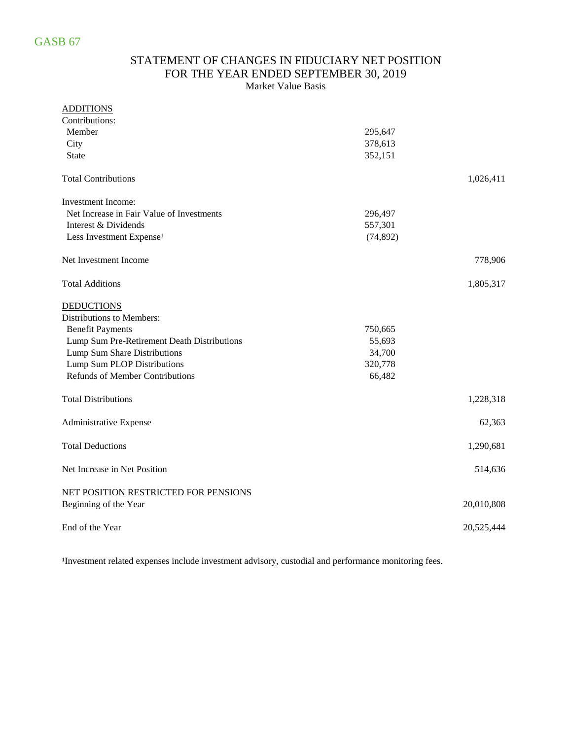### STATEMENT OF CHANGES IN FIDUCIARY NET POSITION FOR THE YEAR ENDED SEPTEMBER 30, 2019 Market Value Basis

| <b>ADDITIONS</b>                            |           |            |
|---------------------------------------------|-----------|------------|
| Contributions:                              |           |            |
| Member                                      | 295,647   |            |
| City                                        | 378,613   |            |
| <b>State</b>                                | 352,151   |            |
| <b>Total Contributions</b>                  |           | 1,026,411  |
| Investment Income:                          |           |            |
| Net Increase in Fair Value of Investments   | 296,497   |            |
| Interest & Dividends                        | 557,301   |            |
| Less Investment Expense <sup>1</sup>        | (74, 892) |            |
| Net Investment Income                       |           | 778,906    |
| <b>Total Additions</b>                      |           | 1,805,317  |
| <b>DEDUCTIONS</b>                           |           |            |
| Distributions to Members:                   |           |            |
| <b>Benefit Payments</b>                     | 750,665   |            |
| Lump Sum Pre-Retirement Death Distributions | 55,693    |            |
| Lump Sum Share Distributions                | 34,700    |            |
| Lump Sum PLOP Distributions                 | 320,778   |            |
| <b>Refunds of Member Contributions</b>      | 66,482    |            |
| <b>Total Distributions</b>                  |           | 1,228,318  |
| Administrative Expense                      |           | 62,363     |
| <b>Total Deductions</b>                     |           | 1,290,681  |
| Net Increase in Net Position                |           | 514,636    |
| NET POSITION RESTRICTED FOR PENSIONS        |           |            |
| Beginning of the Year                       |           | 20,010,808 |
| End of the Year                             |           | 20,525,444 |

<sup>1</sup>Investment related expenses include investment advisory, custodial and performance monitoring fees.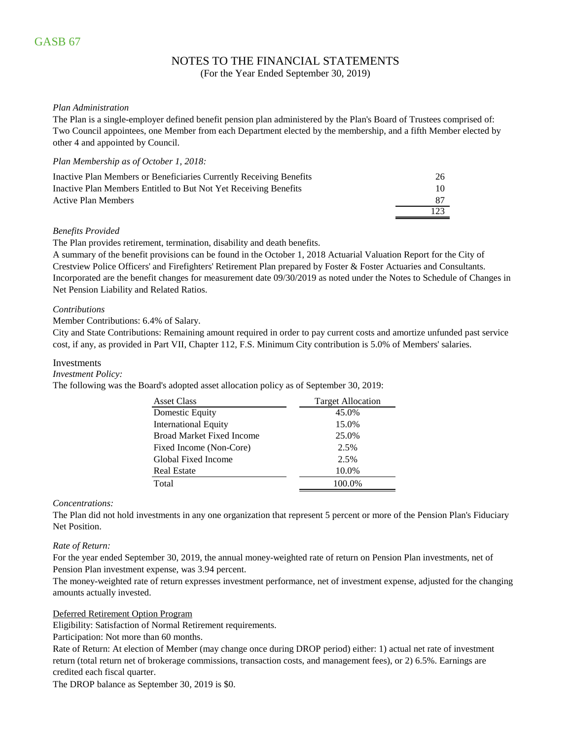## NOTES TO THE FINANCIAL STATEMENTS

(For the Year Ended September 30, 2019)

### *Plan Administration*

The Plan is a single-employer defined benefit pension plan administered by the Plan's Board of Trustees comprised of: Two Council appointees, one Member from each Department elected by the membership, and a fifth Member elected by other 4 and appointed by Council.

### *Plan Membership as of October 1, 2018:*

| Inactive Plan Members or Beneficiaries Currently Receiving Benefits | 26  |
|---------------------------------------------------------------------|-----|
| Inactive Plan Members Entitled to But Not Yet Receiving Benefits    | 10. |
| <b>Active Plan Members</b>                                          |     |
|                                                                     | 123 |

### *Benefits Provided*

The Plan provides retirement, termination, disability and death benefits.

A summary of the benefit provisions can be found in the October 1, 2018 Actuarial Valuation Report for the City of Crestview Police Officers' and Firefighters' Retirement Plan prepared by Foster & Foster Actuaries and Consultants. Incorporated are the benefit changes for measurement date 09/30/2019 as noted under the Notes to Schedule of Changes in Net Pension Liability and Related Ratios.

### *Contributions*

### Member Contributions: 6.4% of Salary.

City and State Contributions: Remaining amount required in order to pay current costs and amortize unfunded past service cost, if any, as provided in Part VII, Chapter 112, F.S. Minimum City contribution is 5.0% of Members' salaries.

### Investments

#### *Investment Policy:*

The following was the Board's adopted asset allocation policy as of September 30, 2019:

| <b>Asset Class</b>               | <b>Target Allocation</b> |
|----------------------------------|--------------------------|
| Domestic Equity                  | 45.0%                    |
| <b>International Equity</b>      | 15.0%                    |
| <b>Broad Market Fixed Income</b> | 25.0%                    |
| Fixed Income (Non-Core)          | 2.5%                     |
| Global Fixed Income              | 2.5%                     |
| <b>Real Estate</b>               | 10.0%                    |
| Total                            | 100.0%                   |
|                                  |                          |

### *Concentrations:*

The Plan did not hold investments in any one organization that represent 5 percent or more of the Pension Plan's Fiduciary Net Position.

#### *Rate of Return:*

For the year ended September 30, 2019, the annual money-weighted rate of return on Pension Plan investments, net of Pension Plan investment expense, was 3.94 percent.

The money-weighted rate of return expresses investment performance, net of investment expense, adjusted for the changing amounts actually invested.

#### Deferred Retirement Option Program

Eligibility: Satisfaction of Normal Retirement requirements.

Participation: Not more than 60 months.

Rate of Return: At election of Member (may change once during DROP period) either: 1) actual net rate of investment return (total return net of brokerage commissions, transaction costs, and management fees), or 2) 6.5%. Earnings are credited each fiscal quarter.

The DROP balance as September 30, 2019 is \$0.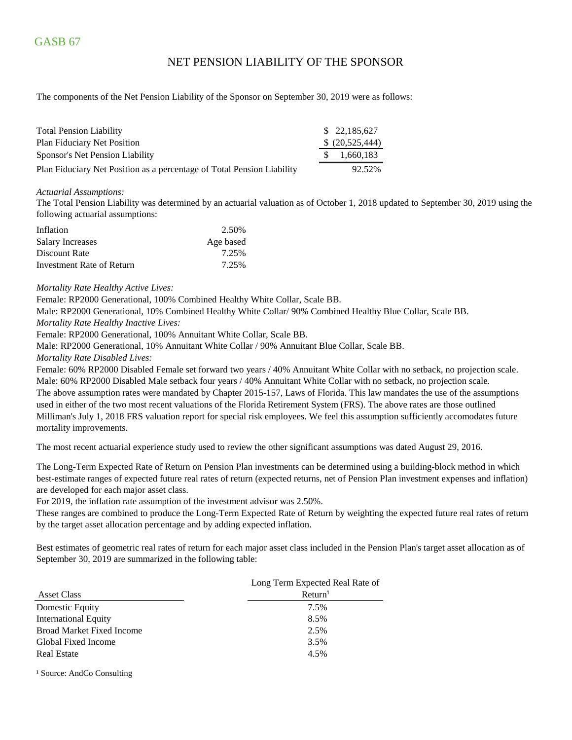### NET PENSION LIABILITY OF THE SPONSOR

The components of the Net Pension Liability of the Sponsor on September 30, 2019 were as follows:

| <b>Total Pension Liability</b>                                         | \$ 22,185,627   |
|------------------------------------------------------------------------|-----------------|
| <b>Plan Fiduciary Net Position</b>                                     | \$ (20,525,444) |
| Sponsor's Net Pension Liability                                        | 1,660,183       |
| Plan Fiduciary Net Position as a percentage of Total Pension Liability | 92.52%          |

#### *Actuarial Assumptions:*

The Total Pension Liability was determined by an actuarial valuation as of October 1, 2018 updated to September 30, 2019 using the following actuarial assumptions:

| Inflation                 | 2.50%     |
|---------------------------|-----------|
| Salary Increases          | Age based |
| Discount Rate             | 7.25%     |
| Investment Rate of Return | 7.25%     |

#### *Mortality Rate Healthy Active Lives:*

Female: RP2000 Generational, 100% Combined Healthy White Collar, Scale BB.

Male: RP2000 Generational, 10% Combined Healthy White Collar/ 90% Combined Healthy Blue Collar, Scale BB.

*Mortality Rate Healthy Inactive Lives:*

Female: RP2000 Generational, 100% Annuitant White Collar, Scale BB.

Male: RP2000 Generational, 10% Annuitant White Collar / 90% Annuitant Blue Collar, Scale BB.

#### *Mortality Rate Disabled Lives:*

Female: 60% RP2000 Disabled Female set forward two years / 40% Annuitant White Collar with no setback, no projection scale. Male: 60% RP2000 Disabled Male setback four years / 40% Annuitant White Collar with no setback, no projection scale. The above assumption rates were mandated by Chapter 2015-157, Laws of Florida. This law mandates the use of the assumptions used in either of the two most recent valuations of the Florida Retirement System (FRS). The above rates are those outlined Milliman's July 1, 2018 FRS valuation report for special risk employees. We feel this assumption sufficiently accomodates future mortality improvements.

The most recent actuarial experience study used to review the other significant assumptions was dated August 29, 2016.

The Long-Term Expected Rate of Return on Pension Plan investments can be determined using a building-block method in which best-estimate ranges of expected future real rates of return (expected returns, net of Pension Plan investment expenses and inflation) are developed for each major asset class.

For 2019, the inflation rate assumption of the investment advisor was 2.50%.

These ranges are combined to produce the Long-Term Expected Rate of Return by weighting the expected future real rates of return by the target asset allocation percentage and by adding expected inflation.

Best estimates of geometric real rates of return for each major asset class included in the Pension Plan's target asset allocation as of September 30, 2019 are summarized in the following table:

|                                  | Long Term Expected Real Rate of |
|----------------------------------|---------------------------------|
| Asset Class                      | Return <sup>1</sup>             |
| Domestic Equity                  | 7.5%                            |
| <b>International Equity</b>      | 8.5%                            |
| <b>Broad Market Fixed Income</b> | 2.5%                            |
| Global Fixed Income              | 3.5%                            |
| <b>Real Estate</b>               | 4.5%                            |
|                                  |                                 |

<sup>1</sup> Source: AndCo Consulting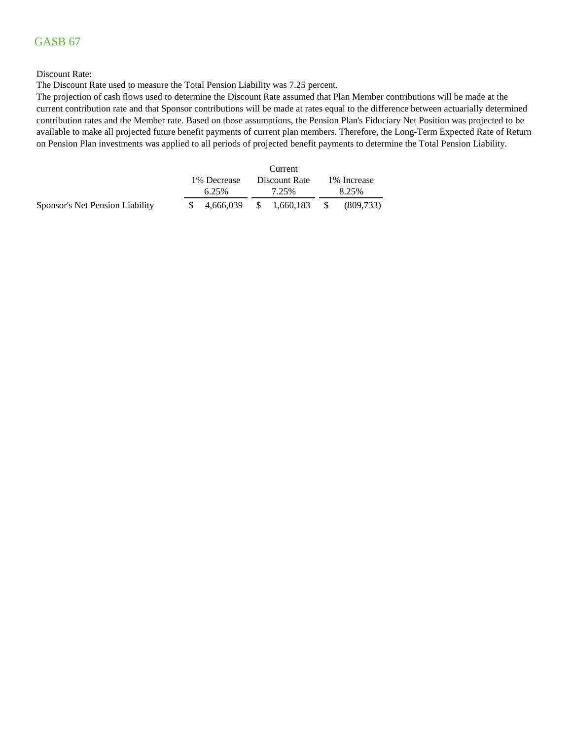## GASB 67

### Discount Rate:

The Discount Rate used to measure the Total Pension Liability was 7.25 percent.

The projection of cash flows used to determine the Discount Rate assumed that Plan Member contributions will be made at the current contribution rate and that Sponsor contributions will be made at rates equal to the difference between actuarially determined contribution rates and the Member rate. Based on those assumptions, the Pension Plan's Fiduciary Net Position was projected to be available to make all projected future benefit payments of current plan members. Therefore, the Long-Term Expected Rate of Return on Pension Plan investments was applied to all periods of projected benefit payments to determine the Total Pension Liability.

|                                 | 1\% Decrease<br>Discount Rate |       |  |       | 1% Increase |
|---------------------------------|-------------------------------|-------|--|-------|-------------|
|                                 | 6.25%                         | 7.25% |  | 8.25% |             |
| Sponsor's Net Pension Liability | $$4,666,039$ $$1,660,183$ $$$ |       |  |       | (809,733)   |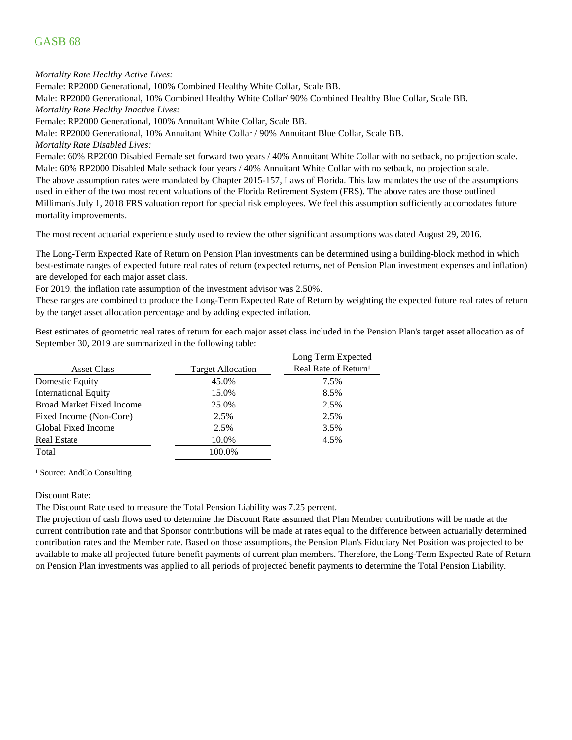## GASB 68

*Mortality Rate Healthy Active Lives:*

Female: RP2000 Generational, 100% Combined Healthy White Collar, Scale BB.

Male: RP2000 Generational, 10% Combined Healthy White Collar/ 90% Combined Healthy Blue Collar, Scale BB. *Mortality Rate Healthy Inactive Lives:*

Female: RP2000 Generational, 100% Annuitant White Collar, Scale BB.

Male: RP2000 Generational, 10% Annuitant White Collar / 90% Annuitant Blue Collar, Scale BB.

*Mortality Rate Disabled Lives:*

Female: 60% RP2000 Disabled Female set forward two years / 40% Annuitant White Collar with no setback, no projection scale. Male: 60% RP2000 Disabled Male setback four years / 40% Annuitant White Collar with no setback, no projection scale. The above assumption rates were mandated by Chapter 2015-157, Laws of Florida. This law mandates the use of the assumptions used in either of the two most recent valuations of the Florida Retirement System (FRS). The above rates are those outlined Milliman's July 1, 2018 FRS valuation report for special risk employees. We feel this assumption sufficiently accomodates future mortality improvements.

The most recent actuarial experience study used to review the other significant assumptions was dated August 29, 2016.

The Long-Term Expected Rate of Return on Pension Plan investments can be determined using a building-block method in which best-estimate ranges of expected future real rates of return (expected returns, net of Pension Plan investment expenses and inflation) are developed for each major asset class.

For 2019, the inflation rate assumption of the investment advisor was 2.50%.

These ranges are combined to produce the Long-Term Expected Rate of Return by weighting the expected future real rates of return by the target asset allocation percentage and by adding expected inflation.

Best estimates of geometric real rates of return for each major asset class included in the Pension Plan's target asset allocation as of September 30, 2019 are summarized in the following table:

|                                  |                          | Long Term Expected               |
|----------------------------------|--------------------------|----------------------------------|
| <b>Asset Class</b>               | <b>Target Allocation</b> | Real Rate of Return <sup>1</sup> |
| Domestic Equity                  | 45.0%                    | 7.5%                             |
| <b>International Equity</b>      | 15.0%                    | 8.5%                             |
| <b>Broad Market Fixed Income</b> | 25.0%                    | 2.5%                             |
| Fixed Income (Non-Core)          | 2.5%                     | 2.5%                             |
| Global Fixed Income              | 2.5%                     | 3.5%                             |
| <b>Real Estate</b>               | 10.0%                    | 4.5%                             |
| Total                            | 100.0%                   |                                  |
|                                  |                          |                                  |

<sup>1</sup> Source: AndCo Consulting

Discount Rate:

The Discount Rate used to measure the Total Pension Liability was 7.25 percent.

The projection of cash flows used to determine the Discount Rate assumed that Plan Member contributions will be made at the current contribution rate and that Sponsor contributions will be made at rates equal to the difference between actuarially determined contribution rates and the Member rate. Based on those assumptions, the Pension Plan's Fiduciary Net Position was projected to be available to make all projected future benefit payments of current plan members. Therefore, the Long-Term Expected Rate of Return on Pension Plan investments was applied to all periods of projected benefit payments to determine the Total Pension Liability.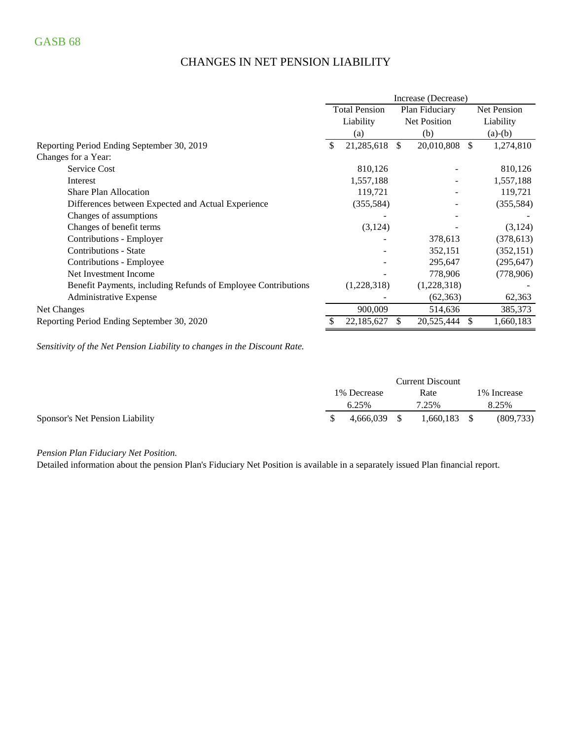## CHANGES IN NET PENSION LIABILITY

|                                                               | Increase (Decrease)                    |             |              |             |     |             |
|---------------------------------------------------------------|----------------------------------------|-------------|--------------|-------------|-----|-------------|
|                                                               | <b>Total Pension</b><br>Plan Fiduciary |             |              |             |     | Net Pension |
|                                                               |                                        | Liability   | Net Position |             |     | Liability   |
|                                                               |                                        | (a)         |              | (b)         |     | $(a)-(b)$   |
| Reporting Period Ending September 30, 2019                    | \$                                     | 21,285,618  | \$.          | 20,010,808  | \$. | 1,274,810   |
| Changes for a Year:                                           |                                        |             |              |             |     |             |
| <b>Service Cost</b>                                           |                                        | 810,126     |              |             |     | 810,126     |
| Interest                                                      |                                        | 1,557,188   |              |             |     | 1,557,188   |
| <b>Share Plan Allocation</b>                                  |                                        | 119,721     |              |             |     | 119,721     |
| Differences between Expected and Actual Experience            |                                        | (355, 584)  |              |             |     | (355,584)   |
| Changes of assumptions                                        |                                        |             |              |             |     |             |
| Changes of benefit terms                                      |                                        | (3,124)     |              |             |     | (3,124)     |
| Contributions - Employer                                      |                                        |             |              | 378,613     |     | (378, 613)  |
| Contributions - State                                         |                                        |             |              | 352,151     |     | (352, 151)  |
| Contributions - Employee                                      |                                        |             |              | 295,647     |     | (295, 647)  |
| Net Investment Income                                         |                                        |             |              | 778,906     |     | (778,906)   |
| Benefit Payments, including Refunds of Employee Contributions |                                        | (1,228,318) |              | (1,228,318) |     |             |
| <b>Administrative Expense</b>                                 |                                        |             |              | (62, 363)   |     | 62,363      |
| Net Changes                                                   |                                        | 900,009     |              | 514,636     |     | 385,373     |
| Reporting Period Ending September 30, 2020                    |                                        | 22,185,627  | S.           | 20,525,444  | S   | 1,660,183   |

*Sensitivity of the Net Pension Liability to changes in the Discount Rate.*

|                                 | <b>Current Discount</b> |           |      |                |  |              |
|---------------------------------|-------------------------|-----------|------|----------------|--|--------------|
|                                 | 1% Decrease             |           |      | Rate           |  | 1\% Increase |
|                                 |                         | 6.25%     |      | 7.25%          |  | 8.25%        |
| Sponsor's Net Pension Liability |                         | 4.666.039 | - \$ | $1.660.183$ \$ |  | (809,733)    |

*Pension Plan Fiduciary Net Position.* 

Detailed information about the pension Plan's Fiduciary Net Position is available in a separately issued Plan financial report.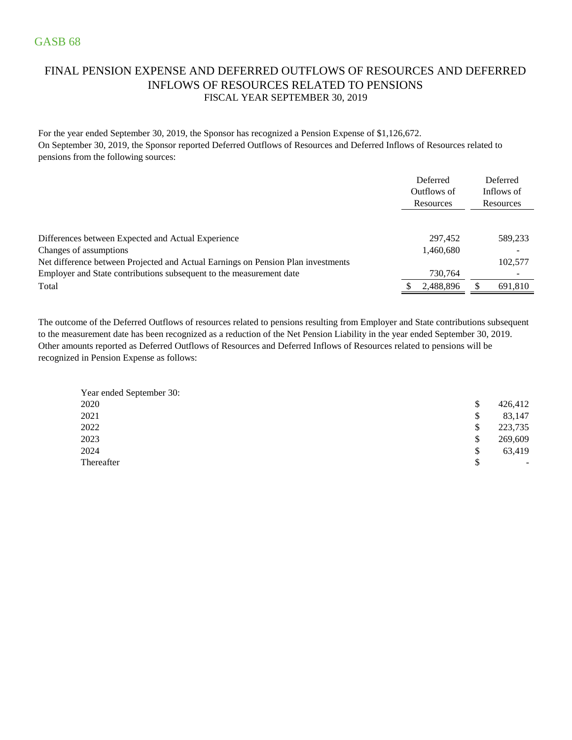## FINAL PENSION EXPENSE AND DEFERRED OUTFLOWS OF RESOURCES AND DEFERRED INFLOWS OF RESOURCES RELATED TO PENSIONS FISCAL YEAR SEPTEMBER 30, 2019

For the year ended September 30, 2019, the Sponsor has recognized a Pension Expense of \$1,126,672. On September 30, 2019, the Sponsor reported Deferred Outflows of Resources and Deferred Inflows of Resources related to pensions from the following sources:

|                                                                                  | Deferred<br>Outflows of<br>Resources |           | Deferred<br>Inflows of<br>Resources |
|----------------------------------------------------------------------------------|--------------------------------------|-----------|-------------------------------------|
|                                                                                  |                                      |           |                                     |
| Differences between Expected and Actual Experience                               |                                      | 297.452   | 589,233                             |
| Changes of assumptions                                                           |                                      | 1,460,680 |                                     |
| Net difference between Projected and Actual Earnings on Pension Plan investments |                                      |           | 102,577                             |
| Employer and State contributions subsequent to the measurement date              |                                      | 730,764   | $\overline{\phantom{0}}$            |
| Total                                                                            |                                      | 2,488,896 | 691,810                             |

The outcome of the Deferred Outflows of resources related to pensions resulting from Employer and State contributions subsequent to the measurement date has been recognized as a reduction of the Net Pension Liability in the year ended September 30, 2019. Other amounts reported as Deferred Outflows of Resources and Deferred Inflows of Resources related to pensions will be recognized in Pension Expense as follows:

| Year ended September 30: |                                |
|--------------------------|--------------------------------|
| 2020                     | \$<br>426,412                  |
| 2021                     | \$<br>83,147                   |
| 2022                     | \$<br>223,735                  |
| 2023                     | \$<br>269,609                  |
| 2024                     | \$<br>63,419                   |
| Thereafter               | \$<br>$\overline{\phantom{a}}$ |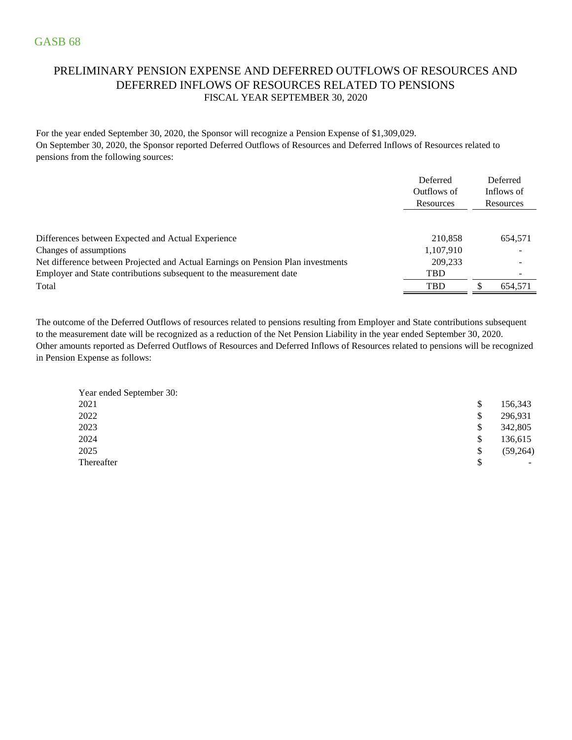## PRELIMINARY PENSION EXPENSE AND DEFERRED OUTFLOWS OF RESOURCES AND DEFERRED INFLOWS OF RESOURCES RELATED TO PENSIONS FISCAL YEAR SEPTEMBER 30, 2020

For the year ended September 30, 2020, the Sponsor will recognize a Pension Expense of \$1,309,029. On September 30, 2020, the Sponsor reported Deferred Outflows of Resources and Deferred Inflows of Resources related to pensions from the following sources:

|                                                                                  | Deferred<br>Outflows of<br>Resources | Deferred<br>Inflows of<br>Resources |
|----------------------------------------------------------------------------------|--------------------------------------|-------------------------------------|
| Differences between Expected and Actual Experience                               | 210.858                              | 654.571                             |
| Changes of assumptions                                                           | 1,107,910                            | $\overline{\phantom{a}}$            |
| Net difference between Projected and Actual Earnings on Pension Plan investments | 209.233                              |                                     |
| Employer and State contributions subsequent to the measurement date              | <b>TBD</b>                           |                                     |
| Total                                                                            | <b>TBD</b>                           | \$<br>654.571                       |

Other amounts reported as Deferred Outflows of Resources and Deferred Inflows of Resources related to pensions will be recognized in Pension Expense as follows: The outcome of the Deferred Outflows of resources related to pensions resulting from Employer and State contributions subsequent to the measurement date will be recognized as a reduction of the Net Pension Liability in the year ended September 30, 2020.

| Year ended September 30: |               |           |
|--------------------------|---------------|-----------|
| 2021                     | <sup>\$</sup> | 156,343   |
| 2022                     | \$            | 296,931   |
| 2023                     | <sup>\$</sup> | 342,805   |
| 2024                     | \$            | 136,615   |
| 2025                     | \$            | (59, 264) |
| Thereafter               | S             | ۰.        |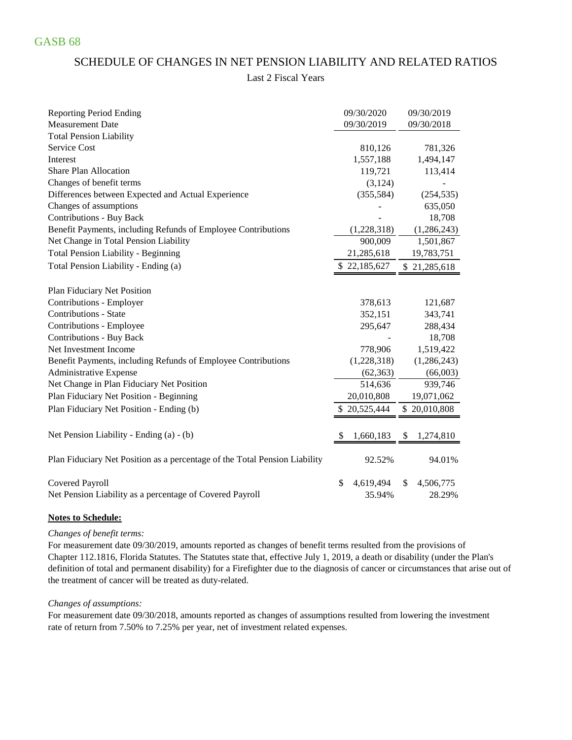### SCHEDULE OF CHANGES IN NET PENSION LIABILITY AND RELATED RATIOS

### Last 2 Fiscal Years

| <b>Reporting Period Ending</b>                                             | 09/30/2020      | 09/30/2019      |
|----------------------------------------------------------------------------|-----------------|-----------------|
| <b>Measurement Date</b>                                                    | 09/30/2019      | 09/30/2018      |
| <b>Total Pension Liability</b>                                             |                 |                 |
| Service Cost                                                               | 810,126         | 781,326         |
| Interest                                                                   | 1,557,188       | 1,494,147       |
| <b>Share Plan Allocation</b>                                               | 119,721         | 113,414         |
| Changes of benefit terms                                                   | (3, 124)        |                 |
| Differences between Expected and Actual Experience                         | (355, 584)      | (254, 535)      |
| Changes of assumptions                                                     |                 | 635,050         |
| <b>Contributions - Buy Back</b>                                            |                 | 18,708          |
| Benefit Payments, including Refunds of Employee Contributions              | (1,228,318)     | (1, 286, 243)   |
| Net Change in Total Pension Liability                                      | 900,009         | 1,501,867       |
| <b>Total Pension Liability - Beginning</b>                                 | 21,285,618      | 19,783,751      |
| Total Pension Liability - Ending (a)                                       | \$22,185,627    | \$21,285,618    |
| Plan Fiduciary Net Position                                                |                 |                 |
| Contributions - Employer                                                   | 378,613         | 121,687         |
| <b>Contributions - State</b>                                               | 352,151         | 343,741         |
| Contributions - Employee                                                   | 295,647         | 288,434         |
| <b>Contributions - Buy Back</b>                                            |                 | 18,708          |
| Net Investment Income                                                      | 778,906         | 1,519,422       |
| Benefit Payments, including Refunds of Employee Contributions              | (1,228,318)     | (1,286,243)     |
| Administrative Expense                                                     | (62, 363)       | (66,003)        |
| Net Change in Plan Fiduciary Net Position                                  | 514,636         | 939,746         |
| Plan Fiduciary Net Position - Beginning                                    | 20,010,808      | 19,071,062      |
| Plan Fiduciary Net Position - Ending (b)                                   | \$20,525,444    | \$20,010,808    |
|                                                                            |                 |                 |
| Net Pension Liability - Ending (a) - (b)                                   | 1,660,183       | 1,274,810<br>\$ |
| Plan Fiduciary Net Position as a percentage of the Total Pension Liability | 92.52%          | 94.01%          |
| <b>Covered Payroll</b>                                                     | \$<br>4,619,494 | 4,506,775<br>\$ |
| Net Pension Liability as a percentage of Covered Payroll                   | 35.94%          | 28.29%          |

### **Notes to Schedule:**

### *Changes of benefit terms:*

For measurement date 09/30/2019, amounts reported as changes of benefit terms resulted from the provisions of Chapter 112.1816, Florida Statutes. The Statutes state that, effective July 1, 2019, a death or disability (under the Plan's definition of total and permanent disability) for a Firefighter due to the diagnosis of cancer or circumstances that arise out of the treatment of cancer will be treated as duty-related.

#### *Changes of assumptions:*

For measurement date 09/30/2018, amounts reported as changes of assumptions resulted from lowering the investment rate of return from 7.50% to 7.25% per year, net of investment related expenses.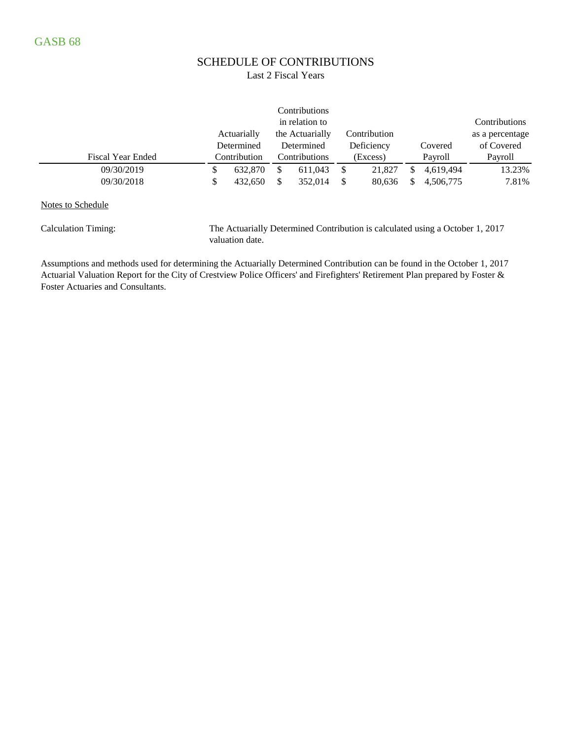# SCHEDULE OF CONTRIBUTIONS

### Last 2 Fiscal Years

|                          |    |              |   | Contributions   |              |           |                 |
|--------------------------|----|--------------|---|-----------------|--------------|-----------|-----------------|
|                          |    |              |   | in relation to  |              |           | Contributions   |
|                          |    | Actuarially  |   | the Actuarially | Contribution |           | as a percentage |
|                          |    | Determined   |   | Determined      | Deficiency   | Covered   | of Covered      |
| <b>Fiscal Year Ended</b> |    | Contribution |   | Contributions   | (Excess)     | Payroll   | Payroll         |
| 09/30/2019               | S  | 632,870      | S | 611,043         | \$<br>21,827 | 4.619.494 | 13.23%          |
| 09/30/2018               | \$ | 432,650      | S | 352.014         | \$<br>80,636 | 4.506.775 | 7.81%           |
|                          |    |              |   |                 |              |           |                 |

Notes to Schedule

Calculation Timing: The Actuarially Determined Contribution is calculated using a October 1, 2017 valuation date.

Assumptions and methods used for determining the Actuarially Determined Contribution can be found in the October 1, 2017 Actuarial Valuation Report for the City of Crestview Police Officers' and Firefighters' Retirement Plan prepared by Foster & Foster Actuaries and Consultants.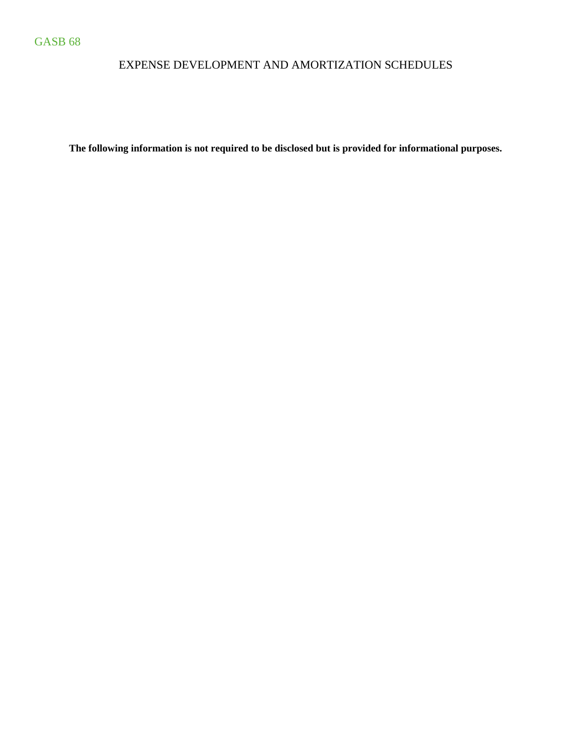## EXPENSE DEVELOPMENT AND AMORTIZATION SCHEDULES

**The following information is not required to be disclosed but is provided for informational purposes.**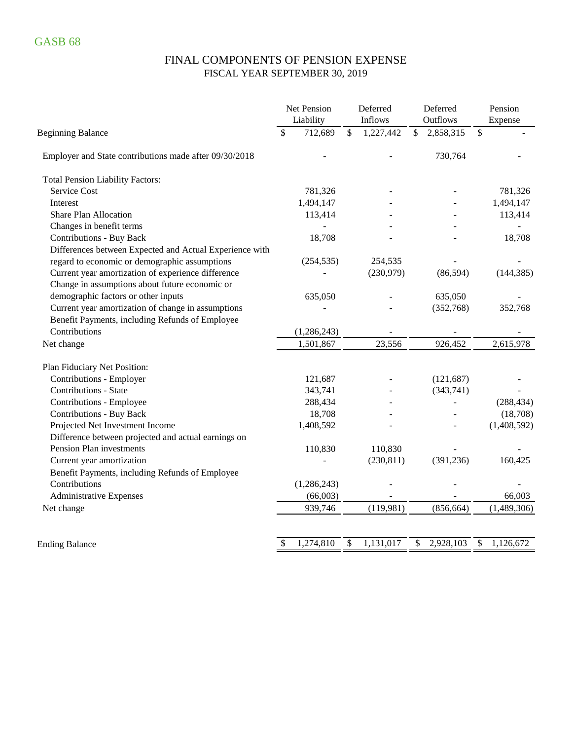## FINAL COMPONENTS OF PENSION EXPENSE FISCAL YEAR SEPTEMBER 30, 2019

|                                                         | Net Pension<br>Liability |               | Deferred<br>Inflows |               | Deferred<br>Outflows | Pension<br>Expense |
|---------------------------------------------------------|--------------------------|---------------|---------------------|---------------|----------------------|--------------------|
| <b>Beginning Balance</b>                                | 712,689<br>\$            | $\mathcal{S}$ | 1,227,442           | $\mathcal{S}$ | 2,858,315            | \$                 |
| Employer and State contributions made after 09/30/2018  |                          |               |                     |               | 730,764              |                    |
| <b>Total Pension Liability Factors:</b>                 |                          |               |                     |               |                      |                    |
| Service Cost                                            | 781,326                  |               |                     |               |                      | 781,326            |
| Interest                                                | 1,494,147                |               |                     |               |                      | 1,494,147          |
| <b>Share Plan Allocation</b>                            | 113,414                  |               |                     |               |                      | 113,414            |
| Changes in benefit terms                                |                          |               |                     |               |                      |                    |
| <b>Contributions - Buy Back</b>                         | 18,708                   |               |                     |               |                      | 18,708             |
| Differences between Expected and Actual Experience with |                          |               |                     |               |                      |                    |
| regard to economic or demographic assumptions           | (254, 535)               |               | 254,535             |               |                      |                    |
| Current year amortization of experience difference      |                          |               | (230,979)           |               | (86, 594)            | (144, 385)         |
| Change in assumptions about future economic or          |                          |               |                     |               |                      |                    |
| demographic factors or other inputs                     | 635,050                  |               |                     |               | 635,050              |                    |
| Current year amortization of change in assumptions      |                          |               |                     |               | (352,768)            | 352,768            |
| Benefit Payments, including Refunds of Employee         |                          |               |                     |               |                      |                    |
| Contributions                                           | (1, 286, 243)            |               |                     |               |                      |                    |
| Net change                                              | 1,501,867                |               | 23,556              |               | 926,452              | 2,615,978          |
| Plan Fiduciary Net Position:                            |                          |               |                     |               |                      |                    |
| Contributions - Employer                                | 121,687                  |               |                     |               | (121, 687)           |                    |
| <b>Contributions - State</b>                            | 343,741                  |               |                     |               | (343,741)            |                    |
| Contributions - Employee                                | 288,434                  |               |                     |               | $\overline{a}$       | (288, 434)         |
| <b>Contributions - Buy Back</b>                         | 18,708                   |               |                     |               |                      | (18,708)           |
| Projected Net Investment Income                         | 1,408,592                |               |                     |               |                      | (1,408,592)        |
| Difference between projected and actual earnings on     |                          |               |                     |               |                      |                    |
| Pension Plan investments                                | 110,830                  |               | 110,830             |               |                      |                    |
| Current year amortization                               |                          |               | (230, 811)          |               | (391, 236)           | 160,425            |
| Benefit Payments, including Refunds of Employee         |                          |               |                     |               |                      |                    |
| Contributions                                           | (1,286,243)              |               |                     |               |                      |                    |
| <b>Administrative Expenses</b>                          | (66,003)                 |               |                     |               |                      | 66,003             |
| Net change                                              | 939,746                  |               | (119,981)           |               | (856, 664)           | (1,489,306)        |
|                                                         |                          |               |                     |               |                      |                    |
| <b>Ending Balance</b>                                   | 1,274,810<br>\$          | \$            | 1,131,017           | \$            | 2,928,103            | \$<br>1,126,672    |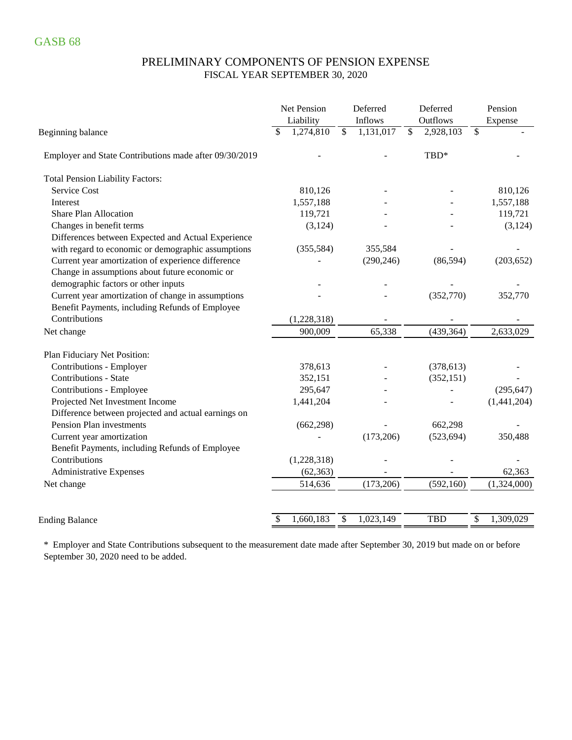### PRELIMINARY COMPONENTS OF PENSION EXPENSE FISCAL YEAR SEPTEMBER 30, 2020

|                                                        | Net Pension     | Deferred                   | Deferred                   | Pension         |
|--------------------------------------------------------|-----------------|----------------------------|----------------------------|-----------------|
|                                                        | Liability       | Inflows                    | Outflows                   | Expense         |
| Beginning balance                                      | 1,274,810<br>\$ | $\mathcal{S}$<br>1,131,017 | $\mathcal{S}$<br>2,928,103 | \$              |
| Employer and State Contributions made after 09/30/2019 |                 |                            | TBD*                       |                 |
| <b>Total Pension Liability Factors:</b>                |                 |                            |                            |                 |
| Service Cost                                           | 810,126         |                            |                            | 810,126         |
| Interest                                               | 1,557,188       |                            |                            | 1,557,188       |
| <b>Share Plan Allocation</b>                           | 119,721         |                            |                            | 119,721         |
| Changes in benefit terms                               | (3, 124)        |                            |                            | (3, 124)        |
| Differences between Expected and Actual Experience     |                 |                            |                            |                 |
| with regard to economic or demographic assumptions     | (355, 584)      | 355,584                    |                            |                 |
| Current year amortization of experience difference     |                 | (290, 246)                 | (86, 594)                  | (203, 652)      |
| Change in assumptions about future economic or         |                 |                            |                            |                 |
| demographic factors or other inputs                    |                 |                            |                            |                 |
| Current year amortization of change in assumptions     |                 |                            | (352,770)                  | 352,770         |
| Benefit Payments, including Refunds of Employee        |                 |                            |                            |                 |
| Contributions                                          | (1,228,318)     |                            |                            |                 |
| Net change                                             | 900,009         | 65,338                     | (439, 364)                 | 2,633,029       |
| Plan Fiduciary Net Position:                           |                 |                            |                            |                 |
| Contributions - Employer                               | 378,613         |                            | (378, 613)                 |                 |
| Contributions - State                                  | 352,151         |                            | (352, 151)                 |                 |
| Contributions - Employee                               | 295,647         |                            |                            | (295, 647)      |
| Projected Net Investment Income                        | 1,441,204       |                            |                            | (1,441,204)     |
| Difference between projected and actual earnings on    |                 |                            |                            |                 |
| Pension Plan investments                               | (662, 298)      |                            | 662,298                    |                 |
| Current year amortization                              |                 | (173,206)                  | (523, 694)                 | 350,488         |
| Benefit Payments, including Refunds of Employee        |                 |                            |                            |                 |
| Contributions                                          | (1,228,318)     |                            |                            |                 |
| Administrative Expenses                                | (62, 363)       |                            |                            | 62,363          |
| Net change                                             | 514,636         | (173,206)                  | (592, 160)                 | (1,324,000)     |
|                                                        |                 |                            |                            |                 |
| <b>Ending Balance</b>                                  | \$<br>1,660,183 | \$<br>1,023,149            | <b>TBD</b>                 | \$<br>1,309,029 |

\* Employer and State Contributions subsequent to the measurement date made after September 30, 2019 but made on or before September 30, 2020 need to be added.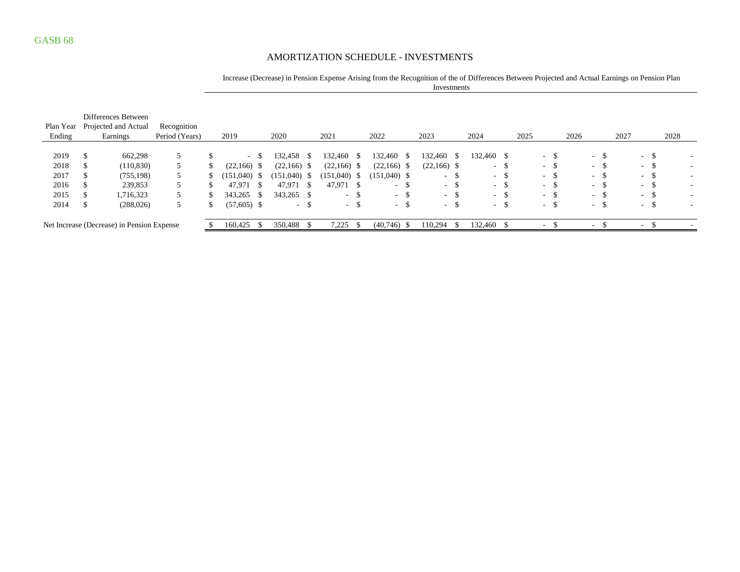### AMORTIZATION SCHEDULE - INVESTMENTS

#### Increase (Decrease) in Pension Expense Arising from the Recognition of the of Differences Between Projected and Actual Earnings on Pension Plan Investments

| Plan Year<br>Ending                        | Differences Between<br>Projected and Actual<br>Earnings | Recognition<br>Period (Years) | 2019          |         | 2020           |            | 2021       |               | 2022            |         | 2023            |         | 2024             |                          | 2025 |                 | 2026 |                  |      | 2027 |        | 2028 |                          |
|--------------------------------------------|---------------------------------------------------------|-------------------------------|---------------|---------|----------------|------------|------------|---------------|-----------------|---------|-----------------|---------|------------------|--------------------------|------|-----------------|------|------------------|------|------|--------|------|--------------------------|
| 2019                                       | 662,298                                                 | 5                             |               | $- S$   | 132,458        | $^{\circ}$ | 132,460    | -S            | 132,460 \$      |         | 132,460         | - S     | 132,460 \$       |                          |      | $-$ \$          |      | $-$ \$           |      |      | $-$ \$ |      |                          |
| 2018                                       | (110, 830)                                              |                               | $(22,166)$ \$ |         | $(22,166)$ \$  |            | (22, 166)  | -S            | $(22,166)$ \$   |         | $(22,166)$ \$   |         | $\sim$ 100 $\pm$ | -\$                      |      | $\sim$<br>. ა   |      | $\sim$ 10 $\pm$  | .ა   |      | $-$ \$ |      | $\overline{\phantom{a}}$ |
| 2017                                       | (755, 198)                                              |                               | (151,040)     | - S     | $(151,040)$ \$ |            | (151, 040) |               | $(151,040)$ \$  |         | $\sim$ 10 $\pm$ |         | $-$ \$           |                          |      | $\sim$<br>- 35  |      | $\sim$ 100 $\mu$ | Ъ    |      | $-$ \$ |      | $\overline{\phantom{a}}$ |
| 2016                                       | 239,853                                                 | 5                             | 47.971        |         | 47.971         | - \$       | 47.971 \$  |               | $\sim$ 10 $\pm$ | - 75    |                 | - 8     | $-$ \$           |                          |      | - 35.<br>$\sim$ |      | $\sim$ 10 $\pm$  | - 75 |      | - \$   |      | $\overline{\phantom{a}}$ |
| 2015                                       | 1,716,323                                               |                               | 343.265       | -8      | 343,265 \$     |            | $\sim$     | <sup>\$</sup> | $-$ \$          |         | - 8             |         | $-$ \$           |                          |      | $\sim$<br>- 35  |      | $\sim$ 100 $\mu$ | - 75 |      | - \$   |      |                          |
| 2014                                       | (288, 026)                                              | 5                             | $(57,605)$ \$ |         |                | - ა        | $- S$      |               | $-$ \$          |         | $\sim$ $ \sim$  | ъ       | $-$ \$           |                          |      | - ა             |      | $\sim$ 100 $\mu$ | ъ    |      | $-$ \$ |      | $\overline{\phantom{a}}$ |
| Net Increase (Decrease) in Pension Expense |                                                         | 160,425                       |               | 350,488 |                | 7,225      |            | $(40,746)$ \$ |                 | 110,294 |                 | 132,460 |                  | $\overline{\phantom{a}}$ |      |                 |      |                  |      | ۰    |        |      |                          |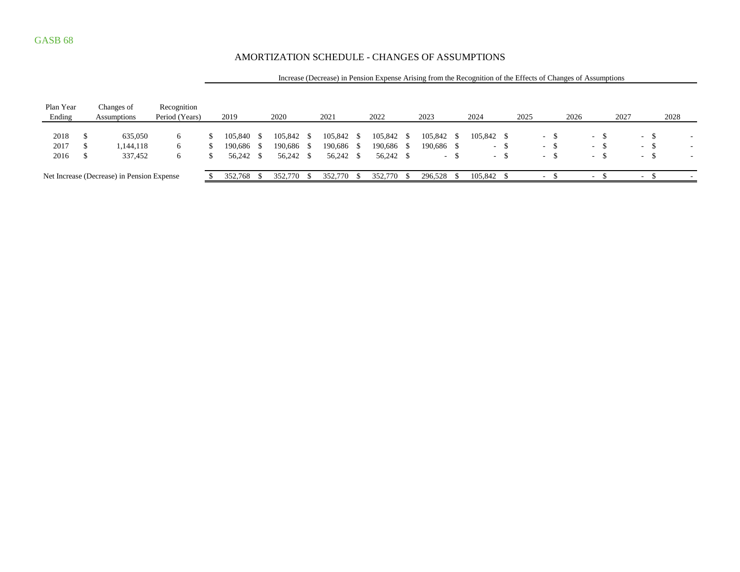### AMORTIZATION SCHEDULE - CHANGES OF ASSUMPTIONS

|           | mercade (Beereade) in 1 endiem Expende i montg nom me recognition of the Effects of Changed of Hoodinpuond |                                            |                |  |            |  |            |  |            |      |            |            |      |            |     |      |               |      |                  |        |      |                  |        |      |  |
|-----------|------------------------------------------------------------------------------------------------------------|--------------------------------------------|----------------|--|------------|--|------------|--|------------|------|------------|------------|------|------------|-----|------|---------------|------|------------------|--------|------|------------------|--------|------|--|
|           |                                                                                                            |                                            |                |  |            |  |            |  |            |      |            |            |      |            |     |      |               |      |                  |        |      |                  |        |      |  |
| Plan Year |                                                                                                            | Changes of                                 | Recognition    |  |            |  |            |  |            |      |            |            |      |            |     |      |               |      |                  |        |      |                  |        |      |  |
| Ending    |                                                                                                            | Assumptions                                | Period (Years) |  | 2019       |  | 2020       |  | 2021       |      | 2022       | 2023       |      | 2024       |     | 2025 |               | 2026 |                  |        | 2027 |                  |        | 2028 |  |
|           |                                                                                                            |                                            |                |  |            |  |            |  |            |      |            |            |      |            |     |      |               |      |                  |        |      |                  |        |      |  |
| 2018      |                                                                                                            | 635,050                                    | 6              |  | 105.840    |  | 105,842 \$ |  | 105,842 \$ |      | 105,842 \$ | 105,842    | - S  | 105,842 \$ |     |      | . ა<br>$\sim$ |      | <b>Service</b>   | -S     |      | $\sim$ 100 $\mu$ | -\$    |      |  |
| 2017      |                                                                                                            | 1,144,118                                  | 6              |  | 190.686 \$ |  | 190,686 \$ |  | 190,686    | -S   | 190,686 \$ | 190,686 \$ |      |            | - ა |      | $-$ \$        |      |                  | $-$ \$ |      | $-$ \$           |        |      |  |
| 2016      |                                                                                                            | 337,452                                    | 6              |  | 56,242 \$  |  | 56,242 \$  |  | 56,242 \$  |      | 56,242 \$  | - 1        |      |            | - ა |      | $-$ \$        |      | $\sim$ 100 $\mu$ | -S     |      |                  | $-$ \$ |      |  |
|           |                                                                                                            | Net Increase (Decrease) in Pension Expense |                |  | 352,768    |  | 352,770 \$ |  | 352,770    | - 85 | 352,770 \$ | 296,528    | - \$ | 105,842 \$ |     |      | $\sim$        |      | $\sim$           |        |      | $\sim$ $\sim$    | - \$   |      |  |